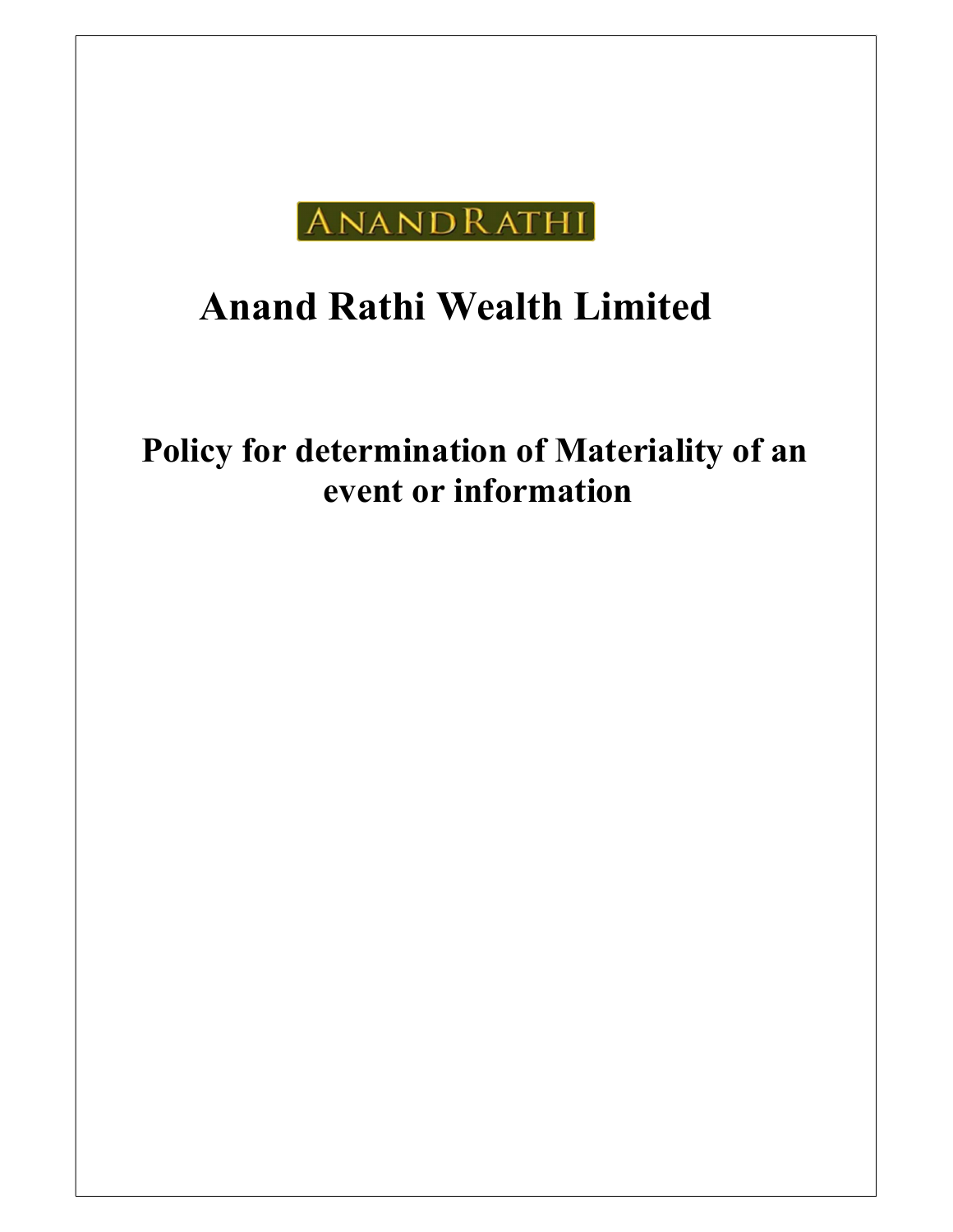

# Anand Rathi Wealth Limited

## Policy for determination of Materiality of an event or information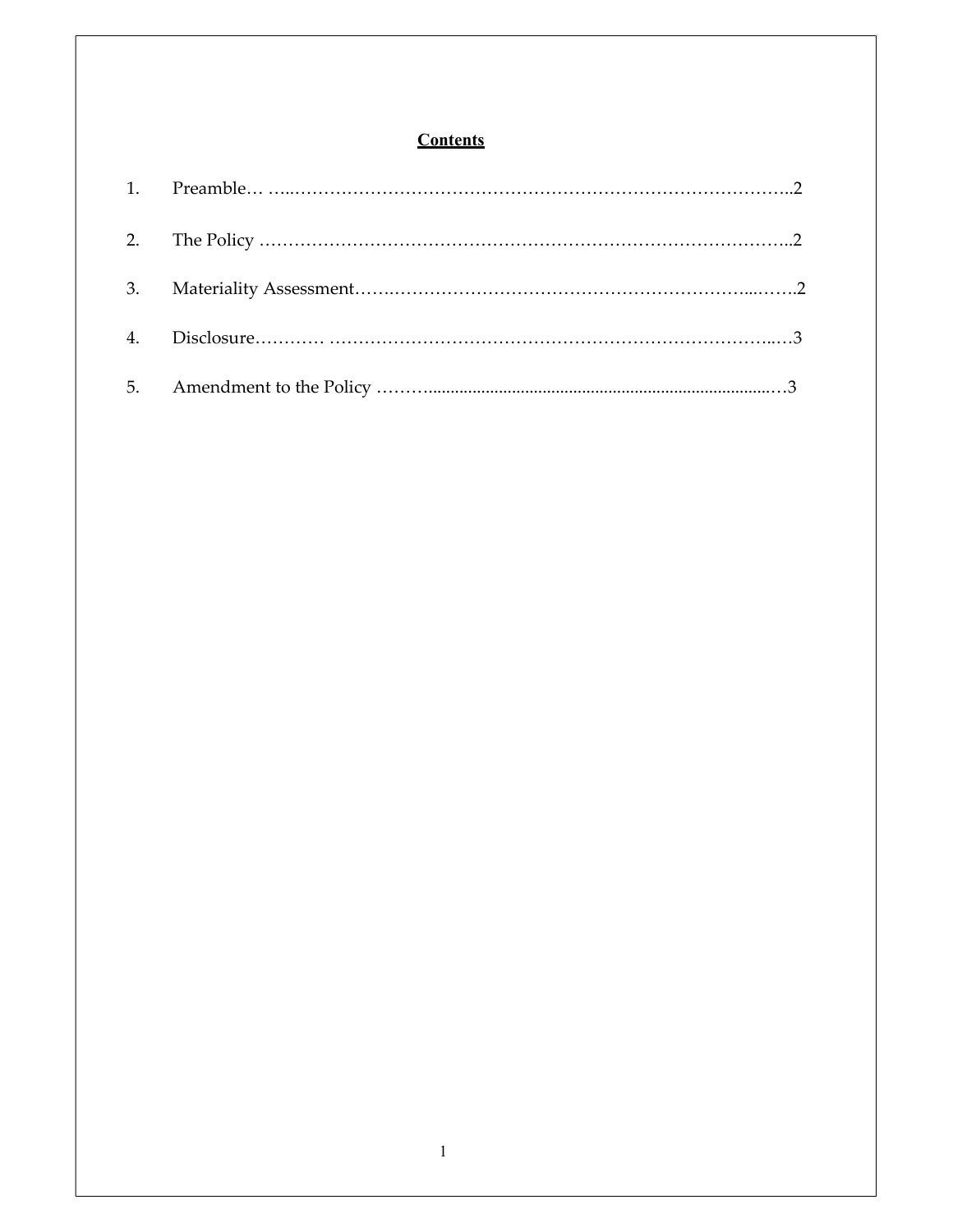### **Contents**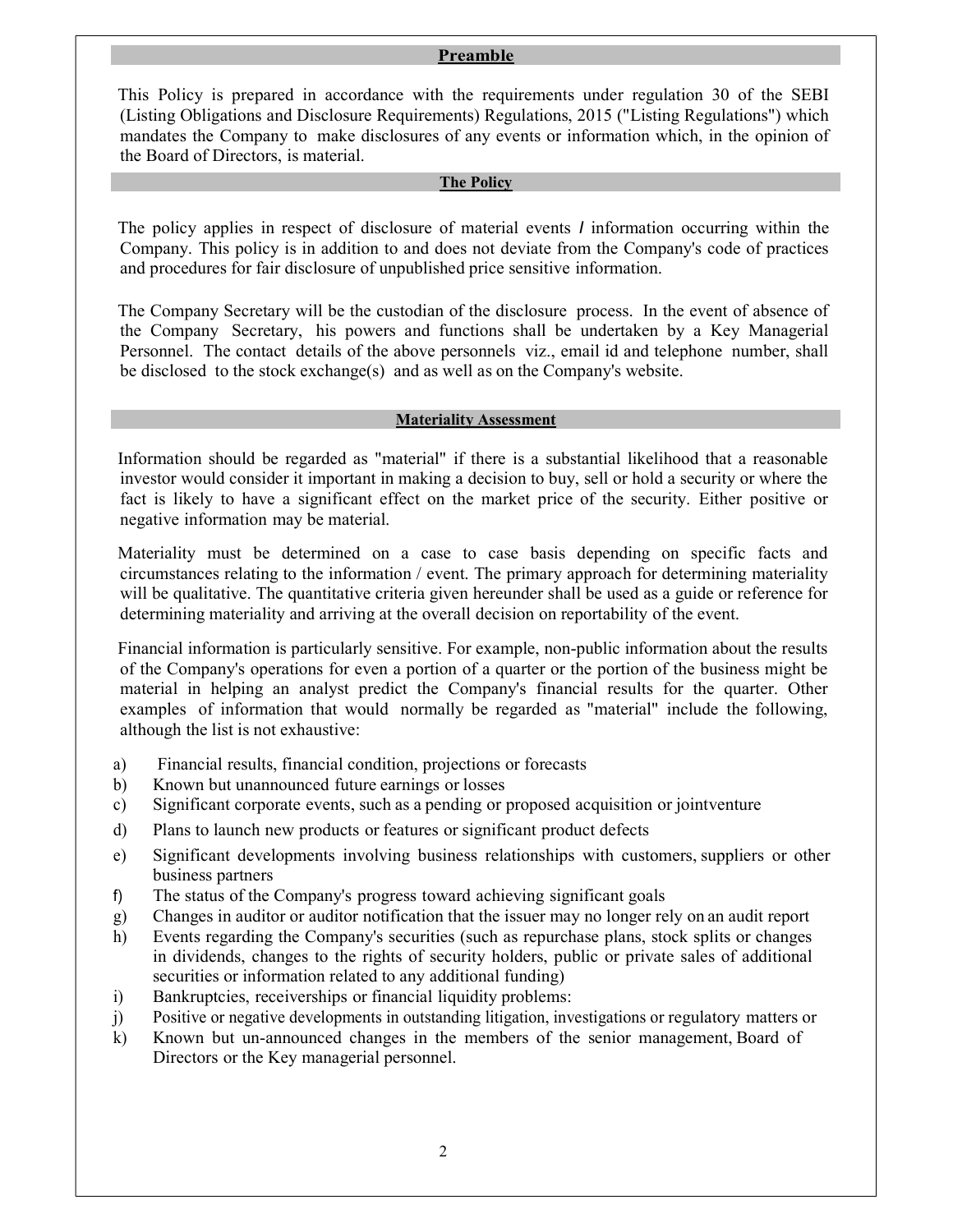#### Preamble

 This Policy is prepared in accordance with the requirements under regulation 30 of the SEBI (Listing Obligations and Disclosure Requirements) Regulations, 2015 ("Listing Regulations") which mandates the Company to make disclosures of any events or information which, in the opinion of the Board of Directors, is material.

#### The Policy

 The policy applies in respect of disclosure of material events I information occurring within the Company. This policy is in addition to and does not deviate from the Company's code of practices and procedures for fair disclosure of unpublished price sensitive information.

 The Company Secretary will be the custodian of the disclosure process. In the event of absence of the Company Secretary, his powers and functions shall be undertaken by a Key Managerial Personnel. The contact details of the above personnels viz., email id and telephone number, shall be disclosed to the stock exchange(s) and as well as on the Company's website.

#### Materiality Assessment

 Information should be regarded as "material" if there is a substantial likelihood that a reasonable investor would consider it important in making a decision to buy, sell or hold a security or where the fact is likely to have a significant effect on the market price of the security. Either positive or negative information may be material.

 Materiality must be determined on a case to case basis depending on specific facts and circumstances relating to the information / event. The primary approach for determining materiality will be qualitative. The quantitative criteria given hereunder shall be used as a guide or reference for determining materiality and arriving at the overall decision on reportability of the event.

 Financial information is particularly sensitive. For example, non-public information about the results of the Company's operations for even a portion of a quarter or the portion of the business might be material in helping an analyst predict the Company's financial results for the quarter. Other examples of information that would normally be regarded as "material" include the following, although the list is not exhaustive:

- a) Financial results, financial condition, projections or forecasts
- b) Known but unannounced future earnings or losses
- c) Significant corporate events, such as a pending or proposed acquisition or joint venture
- d) Plans to launch new products or features or significant product defects
- e) Significant developments involving business relationships with customers, suppliers or other business partners
- f) The status of the Company's progress toward achieving significant goals
- g) Changes in auditor or auditor notification that the issuer may no longer rely on an audit report
- h) Events regarding the Company's securities (such as repurchase plans, stock splits or changes in dividends, changes to the rights of security holders, public or private sales of additional securities or information related to any additional funding)
- i) Bankruptcies, receiverships or financial liquidity problems:
- j) Positive or negative developments in outstanding litigation, investigations or regulatory matters or
- k) Known but un-announced changes in the members of the senior management, Board of Directors or the Key managerial personnel.